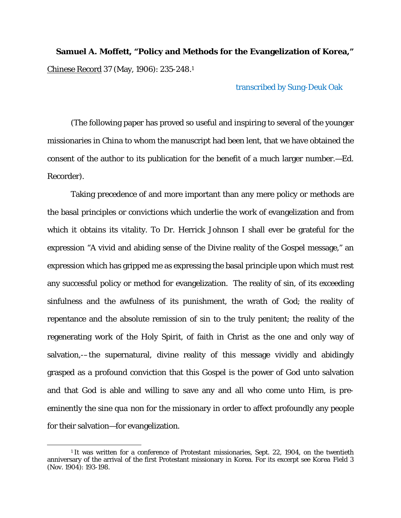**Samuel A. Moffett, "Policy and Methods for the Evangelization of Korea,"** Chinese Record 37 (May, 1906): 235-248.1

transcribed by Sung-Deuk Oak

(The following paper has proved so useful and inspiring to several of the younger missionaries in China to whom the manuscript had been lent, that we have obtained the consent of the author to its publication for the benefit of a much larger number.—Ed. Recorder).

Taking precedence of and more important than any mere policy or methods are the basal principles or convictions which underlie the work of evangelization and from which it obtains its vitality. To Dr. Herrick Johnson I shall ever be grateful for the expression "A vivid and abiding sense of the Divine reality of the Gospel message," an expression which has gripped me as expressing the basal principle upon which must rest any successful policy or method for evangelization. The reality of sin, of its exceeding sinfulness and the awfulness of its punishment, the wrath of God; the reality of repentance and the absolute remission of sin to the truly penitent; the reality of the regenerating work of the Holy Spirit, of faith in Christ as the one and only way of salvation,-–the supernatural, divine reality of this message vividly and abidingly grasped as a profound conviction that this Gospel is the power of God unto salvation and that God is able and willing to save any and all who come unto Him, is preeminently the *sine qua non* for the missionary in order to affect profoundly any people for their salvation—for evangelization.

 $\overline{a}$ 

<sup>&</sup>lt;sup>1</sup> It was written for a conference of Protestant missionaries, Sept. 22, 1904, on the twentieth anniversary of the arrival of the first Protestant missionary in Korea. For its excerpt see *Korea Field* 3 (Nov. 1904): 193-198.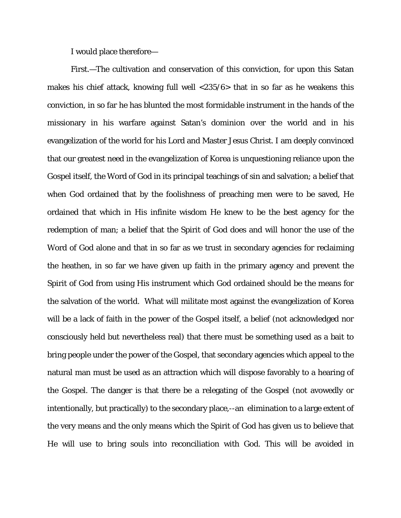I would place therefore—

First.—The cultivation and conservation of this conviction, for upon this Satan makes his chief attack, knowing full well <235/6> that in so far as he weakens this conviction, in so far he has blunted the most formidable instrument in the hands of the missionary in his warfare against Satan's dominion over the world and in his evangelization of the world for his Lord and Master Jesus Christ. I am deeply convinced that our greatest need in the evangelization of Korea is unquestioning reliance upon the Gospel itself, the Word of God in its principal teachings of sin and salvation; a belief that when God ordained that by the foolishness of preaching men were to be saved, He ordained that which in His infinite wisdom He knew to be the best agency for the redemption of man; a belief that the Spirit of God does and will honor the use of the Word of God alone and that in so far as we trust in secondary agencies for reclaiming the heathen, in so far we have given up faith in the primary agency and prevent the Spirit of God from using His instrument which God ordained should be the means for the salvation of the world. What will militate most against the evangelization of Korea will be a lack of faith in the power of the Gospel itself, a belief (not acknowledged nor consciously held but nevertheless real) that there must be something used as a bait to bring people under the power of the Gospel, that secondary agencies which appeal to the natural man must be used as an attraction which will dispose favorably to a hearing of the Gospel. The danger is that there be a relegating of the Gospel (not avowedly or intentionally, but practically) to the secondary place,--an elimination to a large extent of the very means and the only means which the Spirit of God has given us to believe that He will use to bring souls into reconciliation with God. This will be avoided in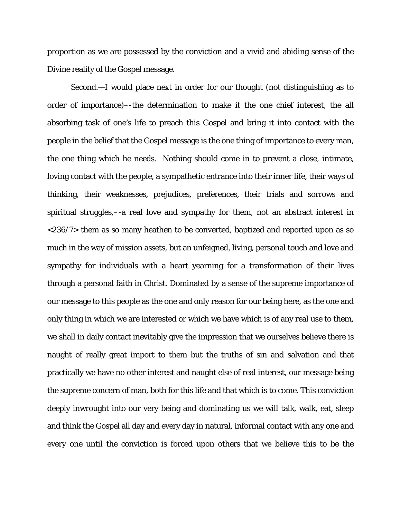proportion as we are possessed by the conviction and a vivid and abiding sense of the Divine reality of the Gospel message.

Second.—I would place next in order for our thought (not distinguishing as to order of importance)–-the determination to make it the one chief interest, the all absorbing task of one's life to preach this Gospel and bring it into contact with the people in the belief that the Gospel message is the one thing of importance to every man, the one thing which he needs. Nothing should come in to prevent a close, intimate, loving contact with the people, a sympathetic entrance into their inner life, their ways of thinking, their weaknesses, prejudices, preferences, their trials and sorrows and spiritual struggles,–-a real love and sympathy for them, not an abstract interest in <236/7> them as so many heathen to be converted, baptized and reported upon as so much in the way of mission assets, but an unfeigned, living, personal touch and love and sympathy for individuals with a heart yearning for a transformation of their lives through a personal faith in Christ. Dominated by a sense of the supreme importance of our message to this people as the one and only reason for our being here, as the one and only thing in which we are interested or which we have which is of any real use to them, we shall in daily contact inevitably give the impression that we ourselves believe there is naught of really great import to them but the truths of sin and salvation and that practically we have no other interest and naught else of real interest, our message being the supreme concern of man, both for this life and that which is to come. This conviction deeply inwrought into our very being and dominating us we will talk, walk, eat, sleep and think the Gospel all day and every day in natural, informal contact with any one and every one until the conviction is forced upon others that we believe this to be the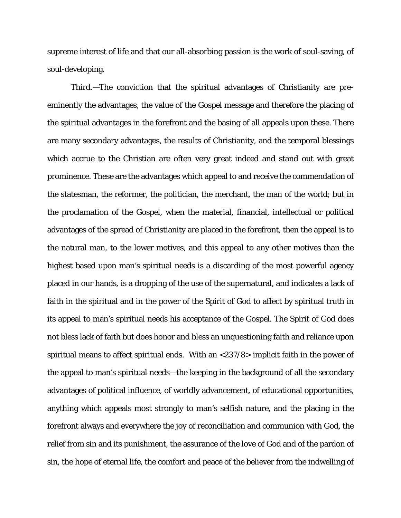supreme interest of life and that our all-absorbing passion is the work of soul-saving, of soul-developing.

Third.—The conviction that the spiritual advantages of Christianity are preeminently *the* advantages, the value of the Gospel message and therefore the placing of the spiritual advantages in the forefront and the basing of all appeals upon these. There are many secondary advantages, the results of Christianity, and the temporal blessings which accrue to the Christian are often very great indeed and stand out with great prominence. These are the advantages which appeal to and receive the commendation of the statesman, the reformer, the politician, the merchant, the man of the world; but in the proclamation of the Gospel, when the material, financial, intellectual or political advantages of the spread of Christianity are placed in the forefront, then the appeal is to the natural man, to the lower motives, and this appeal to any other motives than the highest based upon man's spiritual needs is a discarding of the most powerful agency placed in our hands, is a dropping of the use of the supernatural, and indicates a lack of faith in the spiritual and in the power of the Spirit of God to affect by spiritual truth in its appeal to man's spiritual needs his acceptance of the Gospel. The Spirit of God does not bless lack of faith but does honor and bless an unquestioning faith and reliance upon spiritual means to affect spiritual ends. With an <237/8> implicit faith in the power of the appeal to man's spiritual needs—the keeping in the background of all the secondary advantages of political influence, of worldly advancement, of educational opportunities, anything which appeals most strongly to man's selfish nature, and the placing in the forefront always and everywhere the joy of reconciliation and communion with God, the relief from sin and its punishment, the assurance of the love of God and of the pardon of sin, the hope of eternal life, the comfort and peace of the believer from the indwelling of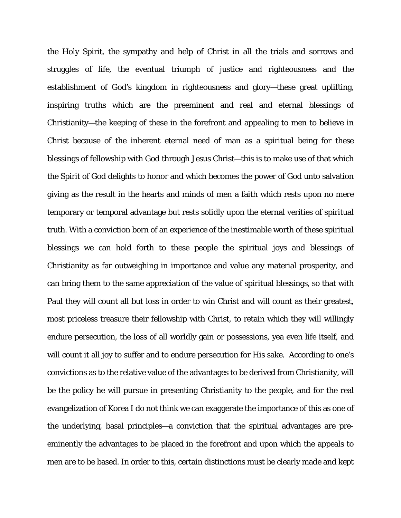the Holy Spirit, the sympathy and help of Christ in all the trials and sorrows and struggles of life, the eventual triumph of justice and righteousness and the establishment of God's kingdom in righteousness and glory—these great uplifting, inspiring truths which are the preeminent and real and eternal blessings of Christianity—the keeping of these in the forefront and appealing to men to believe in Christ because of the inherent eternal need of man as a spiritual being for these blessings of fellowship with God through Jesus Christ—this is to make use of that which the Spirit of God delights to honor and which becomes the power of God unto salvation giving as the result in the hearts and minds of men a faith which rests upon no mere temporary or temporal advantage but rests solidly upon the eternal verities of spiritual truth. With a conviction born of an experience of the inestimable worth of these spiritual blessings we can hold forth to these people the spiritual joys and blessings of Christianity as far outweighing in importance and value any material prosperity, and can bring them to the same appreciation of the value of spiritual blessings, so that with Paul they will count all but loss in order to win Christ and will count as their greatest, most priceless treasure their fellowship with Christ, to retain which they will willingly endure persecution, the loss of all worldly gain or possessions, yea even life itself, and will count it all joy to suffer and to endure persecution for His sake. According to one's convictions as to the relative value of the advantages to be derived from Christianity, will be the policy he will pursue in presenting Christianity to the people, and for the real evangelization of Korea I do not think we can exaggerate the importance of this as one of the underlying, basal principles—a conviction that the spiritual advantages are preeminently the advantages to be placed in the forefront and upon which the appeals to men are to be based. In order to this, certain distinctions must be clearly made and kept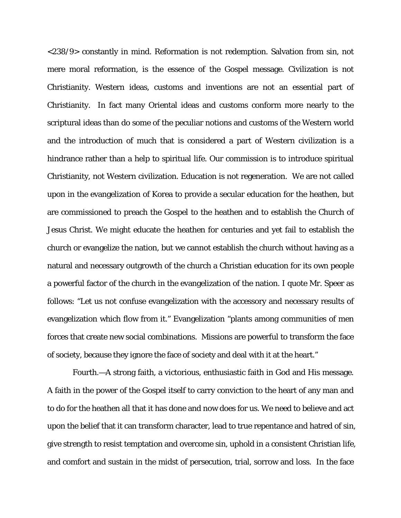<238/9> constantly in mind. Reformation is not redemption. Salvation from sin, not mere moral reformation, is the essence of the Gospel message. Civilization is not Christianity. Western ideas, customs and inventions are not an essential part of Christianity. In fact many Oriental ideas and customs conform more nearly to the scriptural ideas than do some of the peculiar notions and customs of the Western world and the introduction of much that is considered a part of Western civilization is a hindrance rather than a help to spiritual life. Our commission is to introduce spiritual Christianity, not Western civilization. Education is not regeneration. We are not called upon in the evangelization of Korea to provide a secular education for the heathen, but are commissioned to preach the Gospel to the heathen and to establish the Church of Jesus Christ. We might educate the heathen for centuries and yet fail to establish the church or evangelize the nation, but we cannot establish the church without having as a natural and necessary outgrowth of the church a Christian education for its own people a powerful factor of the church in the evangelization of the nation. I quote Mr. Speer as follows: "Let us not confuse evangelization with the accessory and necessary results of evangelization which flow from it." Evangelization "plants among communities of men forces that create new social combinations. Missions are powerful to transform the face of society, because they ignore the face of society and deal with it at the heart."

 Fourth.—A strong faith, a victorious, enthusiastic faith in God and His message. A faith in the power of the Gospel itself to carry conviction to the heart of any man and to do for the heathen all that it has done and now does for us. We need to believe and act upon the belief that it can transform character, lead to true repentance and hatred of sin, give strength to resist temptation and overcome sin, uphold in a consistent Christian life, and comfort and sustain in the midst of persecution, trial, sorrow and loss. In the face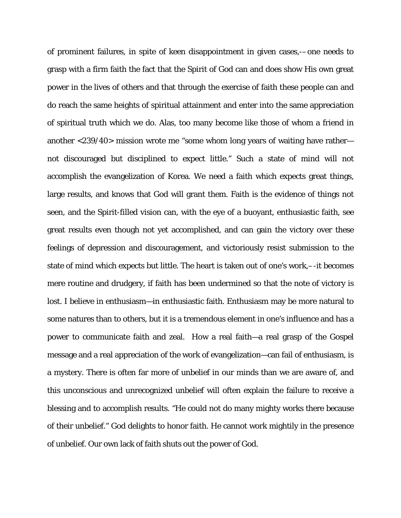of prominent failures, in spite of keen disappointment in given cases,-–one needs to grasp with a firm faith the fact that the Spirit of God can and does show His own great power in the lives of others and that through the exercise of faith these people can and do reach the same heights of spiritual attainment and enter into the same appreciation of spiritual truth which we do. Alas, too many become like those of whom a friend in another <239/40> mission wrote me "some whom long years of waiting have rather not discouraged but disciplined to expect little." Such a state of mind will not accomplish the evangelization of Korea. We need a faith which expects great things, large results, and knows that God will grant them. Faith is the evidence of things not seen, and the Spirit-filled vision can, with the eye of a buoyant, enthusiastic faith, see great results even though not yet accomplished, and can gain the victory over these feelings of depression and discouragement, and victoriously resist submission to the state of mind which expects but little. The heart is taken out of one's work,–-it becomes mere routine and drudgery, if faith has been undermined so that the note of victory is lost. I believe in enthusiasm—in enthusiastic faith. Enthusiasm may be more natural to some natures than to others, but it is a tremendous element in one's influence and has a power to communicate faith and zeal. How a real faith—a real grasp of the Gospel message and a real appreciation of the work of evangelization—can fail of enthusiasm, is a mystery. There is often far more of unbelief in our minds than we are aware of, and this unconscious and unrecognized unbelief will often explain the failure to receive a blessing and to accomplish results. "He could not do many mighty works there because of their unbelief." God delights to honor faith. He cannot work mightily in the presence of unbelief. Our own lack of faith shuts out the power of God.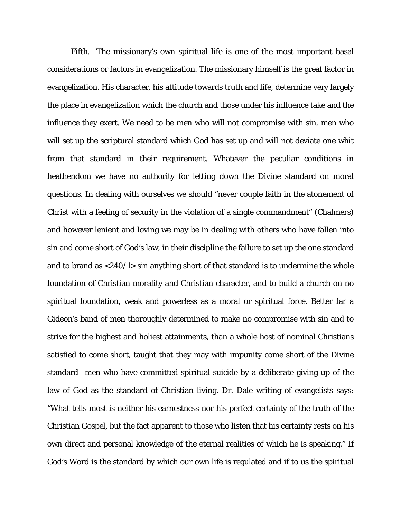Fifth.—The missionary's own spiritual life is one of the most important basal considerations or factors in evangelization. The missionary himself is the great factor in evangelization. His character, his attitude towards truth and life, determine very largely the place in evangelization which the church and those under his influence take and the influence they exert. We need to be men who will not compromise with sin, men who will set up the scriptural standard which God has set up and will not deviate one whit from that standard in their requirement. Whatever the peculiar conditions in heathendom we have no authority for letting down the Divine standard on moral questions. In dealing with ourselves we should "never couple faith in the atonement of Christ with a feeling of security in the violation of a single commandment" (Chalmers) and however lenient and loving we may be in dealing with others who have fallen into sin and come short of God's law, in their discipline the failure to set up the one standard and to brand as <240/1> sin anything short of that standard is to undermine the whole foundation of Christian morality and Christian character, and to build a church on no spiritual foundation, weak and powerless as a moral or spiritual force. Better far a Gideon's band of men thoroughly determined to make no compromise with sin and to strive for the highest and holiest attainments, than a whole host of nominal Christians satisfied to come short, taught that they may with impunity come short of the Divine standard—men who have committed spiritual suicide by a deliberate giving up of the law of God as the standard of Christian living. Dr. Dale writing of evangelists says: "What tells most is neither his earnestness nor his perfect certainty of the truth of the Christian Gospel, but the fact apparent to those who listen that his certainty rests on his own direct and personal knowledge of the eternal realities of which he is speaking." If God's Word is the standard by which our own life is regulated and if to us the spiritual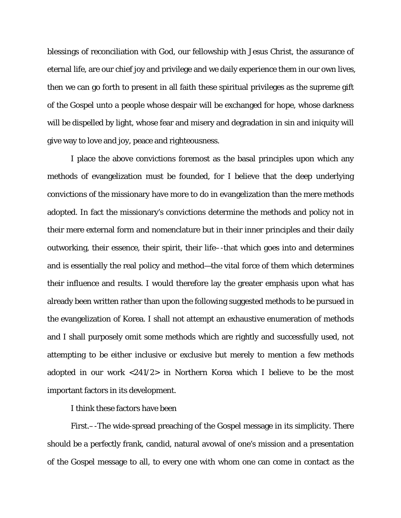blessings of reconciliation with God, our fellowship with Jesus Christ, the assurance of eternal life, are our chief joy and privilege and we daily experience them in our own lives, then we can go forth to present in all faith these spiritual privileges as the supreme gift of the Gospel unto a people whose despair will be exchanged for hope, whose darkness will be dispelled by light, whose fear and misery and degradation in sin and iniquity will give way to love and joy, peace and righteousness.

I place the above convictions foremost as the basal principles upon which any methods of evangelization must be founded, for I believe that the deep underlying convictions of the missionary have more to do in evangelization than the mere methods adopted. In fact the missionary's convictions determine the methods and policy not in their mere external form and nomenclature but in their inner principles and their daily outworking, their essence, their spirit, their life–-that which goes into and determines and is essentially the real policy and method—the vital force of them which determines their influence and results. I would therefore lay the greater emphasis upon what has already been written rather than upon the following suggested methods to be pursued in the evangelization of Korea. I shall not attempt an exhaustive enumeration of methods and I shall purposely omit some methods which are rightly and successfully used, not attempting to be either inclusive or exclusive but merely to mention a few methods adopted in our work <241/2> in Northern Korea which I believe to be the most important factors in its development.

I think these factors have been

First.–-The wide-spread preaching of the Gospel message in its simplicity. There should be a perfectly frank, candid, natural avowal of one's mission and a presentation of the Gospel message to all, to every one with whom one can come in contact as the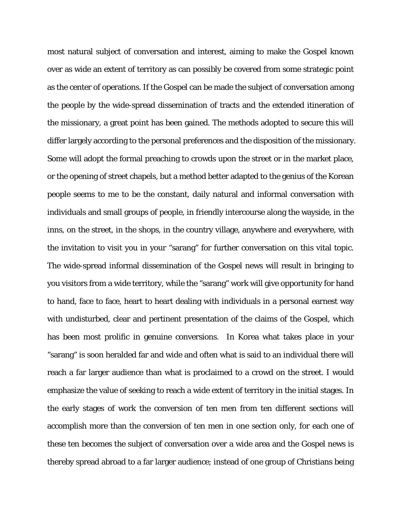most natural subject of conversation and interest, aiming to make the Gospel known over as wide an extent of territory as can possibly be covered from some strategic point as the center of operations. If the Gospel can be made the subject of conversation among the people by the wide-spread dissemination of tracts and the extended itineration of the missionary, a great point has been gained. The methods adopted to secure this will differ largely according to the personal preferences and the disposition of the missionary. Some will adopt the formal preaching to crowds upon the street or in the market place, or the opening of street chapels, but a method better adapted to the genius of the Korean people seems to me to be the constant, daily natural and informal conversation with individuals and small groups of people, in friendly intercourse along the wayside, in the inns, on the street, in the shops, in the country village, anywhere and everywhere, with the invitation to visit you in your "sarang" for further conversation on this vital topic. The wide-spread informal dissemination of the Gospel news will result in bringing to you visitors from a wide territory, while the "sarang" work will give opportunity for hand to hand, face to face, heart to heart dealing with individuals in a personal earnest way with undisturbed, clear and pertinent presentation of the claims of the Gospel, which has been most prolific in genuine conversions. In Korea what takes place in your "sarang" is soon heralded far and wide and often what is said to an individual there will reach a far larger audience than what is proclaimed to a crowd on the street. I would emphasize the value of seeking to reach a wide extent of territory in the initial stages. In the early stages of work the conversion of ten men from ten different sections will accomplish more than the conversion of ten men in one section only, for each one of these ten becomes the subject of conversation over a wide area and the Gospel news is thereby spread abroad to a far larger audience; instead of one group of Christians being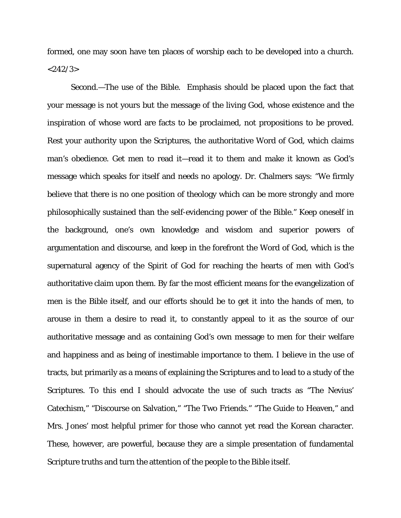formed, one may soon have ten places of worship each to be developed into a church.  $<$ 242/3 $>$ 

Second.—The use of the Bible. Emphasis should be placed upon the fact that your message is not yours but the message of the living God, whose existence and the inspiration of whose word are facts to be proclaimed, not propositions to be proved. Rest your authority upon the Scriptures, the authoritative Word of God, which claims man's obedience. Get men to read it—read it to them and make it known as God's message which speaks for itself and needs no apology. Dr. Chalmers says: "We firmly believe that there is no one position of theology which can be more strongly and more philosophically sustained than the self-evidencing power of the Bible." Keep oneself in the background, one's own knowledge and wisdom and superior powers of argumentation and discourse, and keep in the forefront the Word of God, which is the supernatural agency of the Spirit of God for reaching the hearts of men with God's authoritative claim upon them. By far the most efficient means for the evangelization of men is the Bible itself, and our efforts should be to get it into the hands of men, to arouse in them a desire to read it, to constantly appeal to it as the source of our authoritative message and as containing God's own message to men for their welfare and happiness and as being of inestimable importance to them. I believe in the use of tracts, but primarily as a means of explaining the Scriptures and to lead to a study of the Scriptures. To this end I should advocate the use of such tracts as "The Nevius' Catechism," "Discourse on Salvation," "The Two Friends." "The Guide to Heaven," and Mrs. Jones' most helpful primer for those who cannot yet read the Korean character. These, however, are powerful, because they are a simple presentation of fundamental Scripture truths and turn the attention of the people to the Bible itself.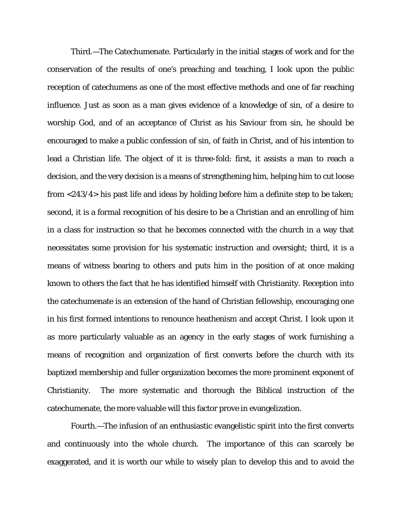Third.—The Catechumenate. Particularly in the initial stages of work and for the conservation of the results of one's preaching and teaching, I look upon the public reception of catechumens as one of the most effective methods and one of far reaching influence. Just as soon as a man gives evidence of a knowledge of sin, of a desire to worship God, and of an acceptance of Christ as his Saviour from sin, he should be encouraged to make a public confession of sin, of faith in Christ, and of his intention to lead a Christian life. The object of it is three-fold: first, it assists a man to reach a decision, and the very decision is a means of strengthening him, helping him to cut loose from <243/4> his past life and ideas by holding before him a definite step to be taken; second, it is a formal recognition of his desire to be a Christian and an enrolling of him in a class for instruction so that he becomes connected with the church in a way that necessitates some provision for his systematic instruction and oversight; third, it is a means of witness bearing to others and puts him in the position of at once making known to others the fact that he has identified himself with Christianity. Reception into the catechumenate is an extension of the hand of Christian fellowship, encouraging one in his first formed intentions to renounce heathenism and accept Christ. I look upon it as more particularly valuable as an agency in the early stages of work furnishing a means of recognition and organization of first converts before the church with its baptized membership and fuller organization becomes the more prominent exponent of Christianity. The more systematic and thorough the Biblical instruction of the catechumenate, the more valuable will this factor prove in evangelization.

Fourth.—The infusion of an enthusiastic evangelistic spirit into the first converts and continuously into the whole church. The importance of this can scarcely be exaggerated, and it is worth our while to wisely plan to develop this and to avoid the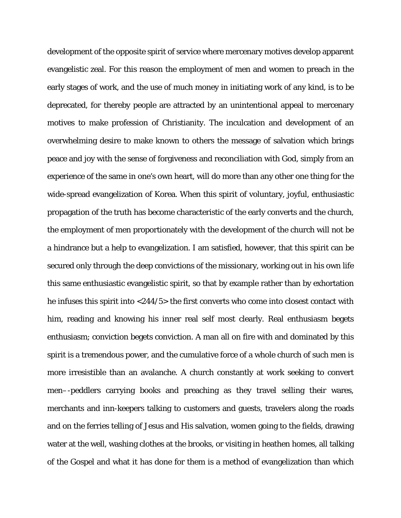development of the opposite spirit of service where mercenary motives develop apparent evangelistic zeal. For this reason the employment of men and women to preach in the early stages of work, and the use of much money in initiating work of any kind, is to be deprecated, for thereby people are attracted by an unintentional appeal to mercenary motives to make profession of Christianity. The inculcation and development of an overwhelming desire to make known to others the message of salvation which brings peace and joy with the sense of forgiveness and reconciliation with God, simply from an experience of the same in one's own heart, will do more than any other one thing for the wide-spread evangelization of Korea. When this spirit of voluntary, joyful, enthusiastic propagation of the truth has become characteristic of the early converts and the church, the employment of men proportionately with the development of the church will not be a hindrance but a help to evangelization. I am satisfied, however, that this spirit can be secured only through the deep convictions of the missionary, working out in his own life this same enthusiastic evangelistic spirit, so that by example rather than by exhortation he infuses this spirit into <244/5> the first converts who come into closest contact with him, reading and knowing his inner real self most clearly. Real enthusiasm begets enthusiasm; conviction begets conviction. A man all on fire with and dominated by this spirit is a tremendous power, and the cumulative force of a whole church of such men is more irresistible than an avalanche. A church constantly at work seeking to convert men–-peddlers carrying books and preaching as they travel selling their wares, merchants and inn-keepers talking to customers and guests, travelers along the roads and on the ferries telling of Jesus and His salvation, women going to the fields, drawing water at the well, washing clothes at the brooks, or visiting in heathen homes, all talking of the Gospel and what it has done for them is a method of evangelization than which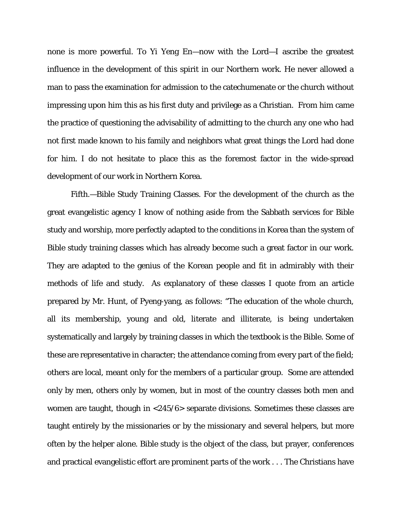none is more powerful. To Yi Yeng En—now with the Lord—I ascribe the greatest influence in the development of this spirit in our Northern work. He never allowed a man to pass the examination for admission to the catechumenate or the church without impressing upon him this as his first duty and privilege as a Christian. From him came the practice of questioning the advisability of admitting to the church any one who had not first made known to his family and neighbors what great things the Lord had done for him. I do not hesitate to place this as the foremost factor in the wide-spread development of our work in Northern Korea.

Fifth.—Bible Study Training Classes. For the development of the church as the great evangelistic agency I know of nothing aside from the Sabbath services for Bible study and worship, more perfectly adapted to the conditions in Korea than the system of Bible study training classes which has already become such a great factor in our work. They are adapted to the genius of the Korean people and fit in admirably with their methods of life and study. As explanatory of these classes I quote from an article prepared by Mr. Hunt, of Pyeng-yang, as follows: "The education of the whole church, all its membership, young and old, literate and illiterate, is being undertaken systematically and largely by training classes in which *the* textbook is the Bible. Some of these are representative in character; the attendance coming from every part of the field; others are local, meant only for the members of a particular group. Some are attended only by men, others only by women, but in most of the country classes both men and women are taught, though in <245/6> separate divisions. Sometimes these classes are taught entirely by the missionaries or by the missionary and several helpers, but more often by the helper alone. Bible study is the object of the class, but prayer, conferences and practical evangelistic effort are prominent parts of the work . . . The Christians have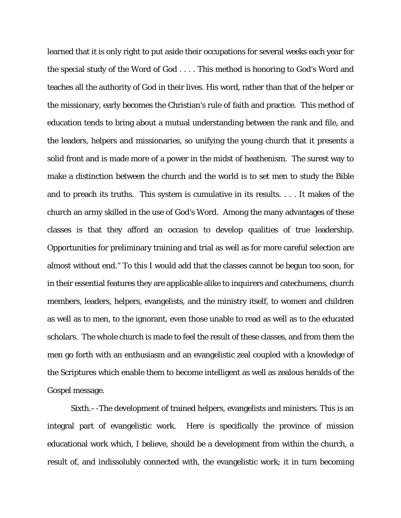learned that it is only right to put aside their occupations for several weeks each year for the special study of the Word of God . . . . This method is honoring to God's Word and teaches all the authority of God in their lives. His word, rather than that of the helper or the missionary, early becomes the Christian's rule of faith and practice. This method of education tends to bring about a mutual understanding between the rank and file, and the leaders, helpers and missionaries, so unifying the young church that it presents a solid front and is made more of a power in the midst of heathenism. The surest way to make a distinction between the church and the world is to set men to study the Bible and to preach its truths. This system is cumulative in its results. . . . It makes of the church an army skilled in the use of God's Word. Among the many advantages of these classes is that they afford an occasion to develop qualities of true leadership. Opportunities for preliminary training and trial as well as for more careful selection are almost without end." To this I would add that the classes cannot be begun too soon, for in their essential features they are applicable alike to inquirers and catechumens, church members, leaders, helpers, evangelists, and the ministry itself, to women and children as well as to men, to the ignorant, even those unable to read as well as to the educated scholars. The whole church is made to feel the result of these classes, and from them the men go forth with an enthusiasm and an evangelistic zeal coupled with a knowledge of the Scriptures which enable them to become intelligent as well as zealous heralds of the Gospel message.

Sixth.–-The development of trained helpers, evangelists and ministers. This is an integral part of evangelistic work. Here is specifically the province of mission educational work which, I believe, should be a development from within the church, a result of, and indissolubly connected with, the evangelistic work; it in turn becoming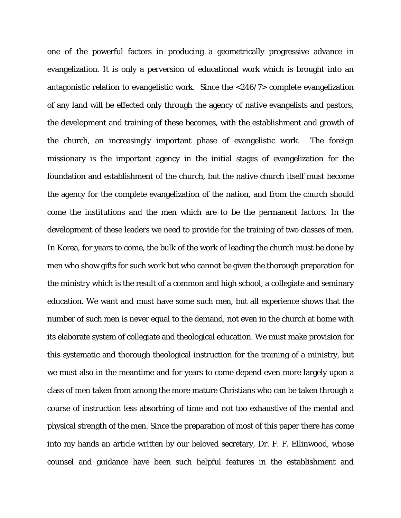one of the powerful factors in producing a geometrically progressive advance in evangelization. It is only a perversion of educational work which is brought into an antagonistic relation to evangelistic work. Since the <246/7> complete evangelization of any land will be effected only through the agency of native evangelists and pastors, the development and training of these becomes, with the establishment and growth of the church, an increasingly important phase of evangelistic work. The foreign missionary is the important agency in the initial stages of evangelization for the foundation and establishment of the church, but the native church itself must become the agency for the complete evangelization of the nation, and from the church should come the institutions and the men which are to be the permanent factors. In the development of these leaders we need to provide for the training of two classes of men. In Korea, for years to come, the bulk of the work of leading the church must be done by men who show gifts for such work but who cannot be given the thorough preparation for the ministry which is the result of a common and high school, a collegiate and seminary education. We want and must have some such men, but all experience shows that the number of such men is never equal to the demand, not even in the church at home with its elaborate system of collegiate and theological education. We must make provision for this systematic and thorough theological instruction for the training of a ministry, but we must also in the meantime and for years to come depend even more largely upon a class of men taken from among the more mature Christians who can be taken through a course of instruction less absorbing of time and not too exhaustive of the mental and physical strength of the men. Since the preparation of most of this paper there has come into my hands an article written by our beloved secretary, Dr. F. F. Ellinwood, whose counsel and guidance have been such helpful features in the establishment and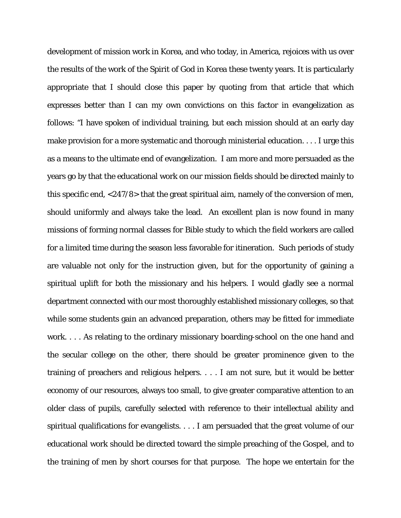development of mission work in Korea, and who today, in America, rejoices with us over the results of the work of the Spirit of God in Korea these twenty years. It is particularly appropriate that I should close this paper by quoting from that article that which expresses better than I can my own convictions on this factor in evangelization as follows: "I have spoken of individual training, but each mission should at an early day make provision for a more systematic and thorough ministerial education. . . . I urge this as a means to the ultimate end of evangelization. I am more and more persuaded as the years go by that the educational work on our mission fields should be directed mainly to this specific end, <247/8> that the great spiritual aim, namely of the conversion of men, should uniformly and always take the lead. An excellent plan is now found in many missions of forming normal classes for Bible study to which the field workers are called for a limited time during the season less favorable for itineration. Such periods of study are valuable not only for the instruction given, but for the opportunity of gaining a spiritual uplift for both the missionary and his helpers. I would gladly see a normal department connected with our most thoroughly established missionary colleges, so that while some students gain an advanced preparation, others may be fitted for immediate work. . . . As relating to the ordinary missionary boarding-school on the one hand and the secular college on the other, there should be greater prominence given to the training of preachers and religious helpers. . . . I am not sure, but it would be better economy of our resources, always too small, to give greater comparative attention to an older class of pupils, carefully selected with reference to their intellectual ability and spiritual qualifications for evangelists. . . . I am persuaded that the great volume of our educational work should be directed toward the simple preaching of the Gospel, and to the training of men by short courses for that purpose. The hope we entertain for the